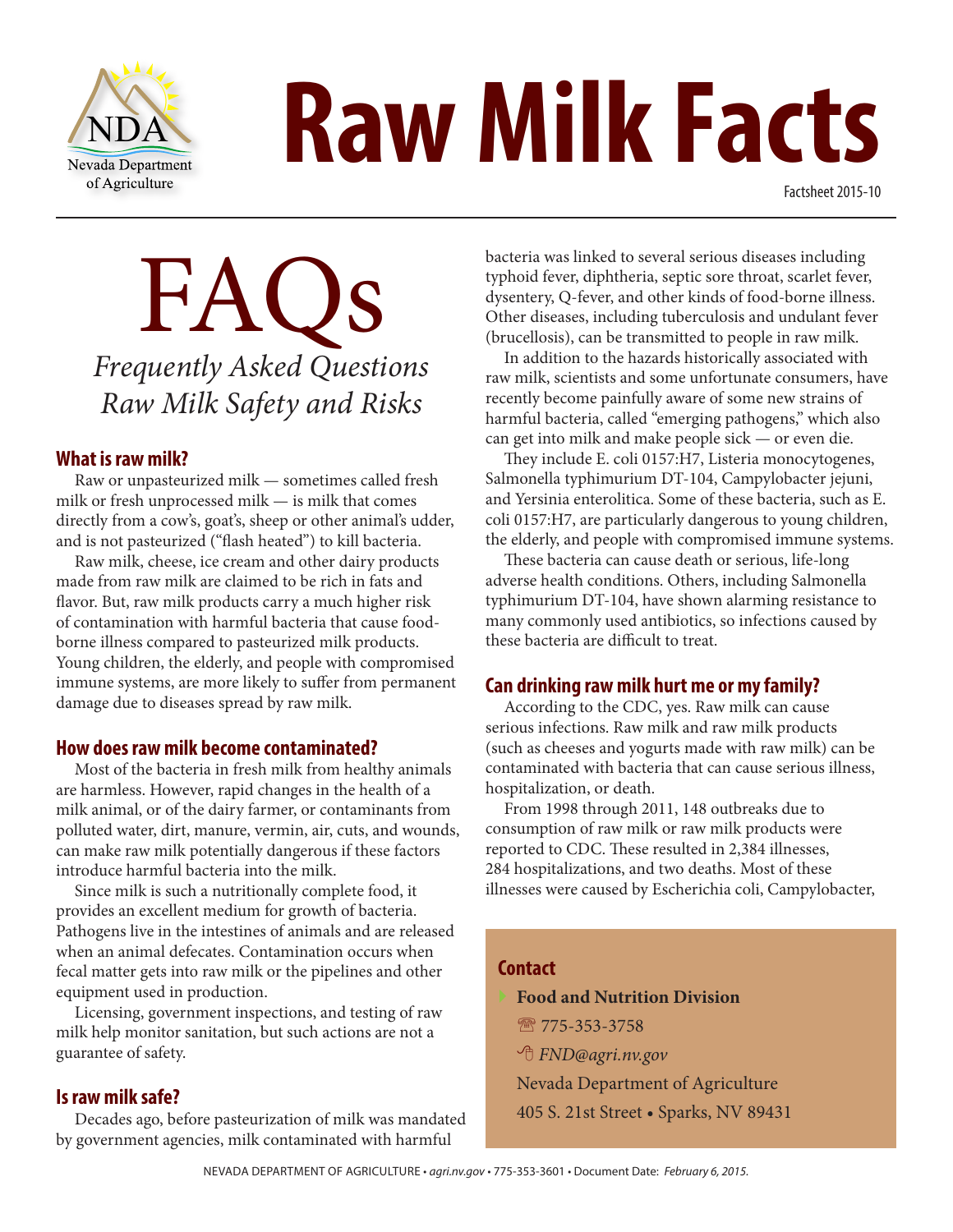

# NDA **Raw Milk Facts**

Factsheet 2015-10

## FAQs *Frequently Asked Questions Raw Milk Safety and Risks*

#### **What is raw milk?**

Raw or unpasteurized milk — sometimes called fresh milk or fresh unprocessed milk — is milk that comes directly from a cow's, goat's, sheep or other animal's udder, and is not pasteurized ("flash heated") to kill bacteria.

Raw milk, cheese, ice cream and other dairy products made from raw milk are claimed to be rich in fats and flavor. But, raw milk products carry a much higher risk of contamination with harmful bacteria that cause foodborne illness compared to pasteurized milk products. Young children, the elderly, and people with compromised immune systems, are more likely to suffer from permanent damage due to diseases spread by raw milk.

#### **How does raw milk become contaminated?**

Most of the bacteria in fresh milk from healthy animals are harmless. However, rapid changes in the health of a milk animal, or of the dairy farmer, or contaminants from polluted water, dirt, manure, vermin, air, cuts, and wounds, can make raw milk potentially dangerous if these factors introduce harmful bacteria into the milk.

Since milk is such a nutritionally complete food, it provides an excellent medium for growth of bacteria. Pathogens live in the intestines of animals and are released when an animal defecates. Contamination occurs when fecal matter gets into raw milk or the pipelines and other equipment used in production.

Licensing, government inspections, and testing of raw milk help monitor sanitation, but such actions are not a guarantee of safety.

#### **Is raw milk safe?**

Decades ago, before pasteurization of milk was mandated by government agencies, milk contaminated with harmful

bacteria was linked to several serious diseases including typhoid fever, diphtheria, septic sore throat, scarlet fever, dysentery, Q-fever, and other kinds of food-borne illness. Other diseases, including tuberculosis and undulant fever (brucellosis), can be transmitted to people in raw milk.

In addition to the hazards historically associated with raw milk, scientists and some unfortunate consumers, have recently become painfully aware of some new strains of harmful bacteria, called "emerging pathogens," which also can get into milk and make people sick — or even die.

They include E. coli 0157:H7, Listeria monocytogenes, Salmonella typhimurium DT-104, Campylobacter jejuni, and Yersinia enterolitica. Some of these bacteria, such as E. coli 0157:H7, are particularly dangerous to young children, the elderly, and people with compromised immune systems.

These bacteria can cause death or serious, life-long adverse health conditions. Others, including Salmonella typhimurium DT-104, have shown alarming resistance to many commonly used antibiotics, so infections caused by these bacteria are difficult to treat.

#### **Can drinking raw milk hurt me or my family?**

According to the CDC, yes. Raw milk can cause serious infections. Raw milk and raw milk products (such as cheeses and yogurts made with raw milk) can be contaminated with bacteria that can cause serious illness, hospitalization, or death.

From 1998 through 2011, 148 outbreaks due to consumption of raw milk or raw milk products were reported to CDC. These resulted in 2,384 illnesses, 284 hospitalizations, and two deaths. Most of these illnesses were caused by Escherichia coli, Campylobacter,

#### **Contact**

- } **Food and Nutrition Division**
	- 图 775-353-3758
	- 8 *FND@agri.nv.gov*

Nevada Department of Agriculture 405 S. 21st Street • Sparks, NV 89431